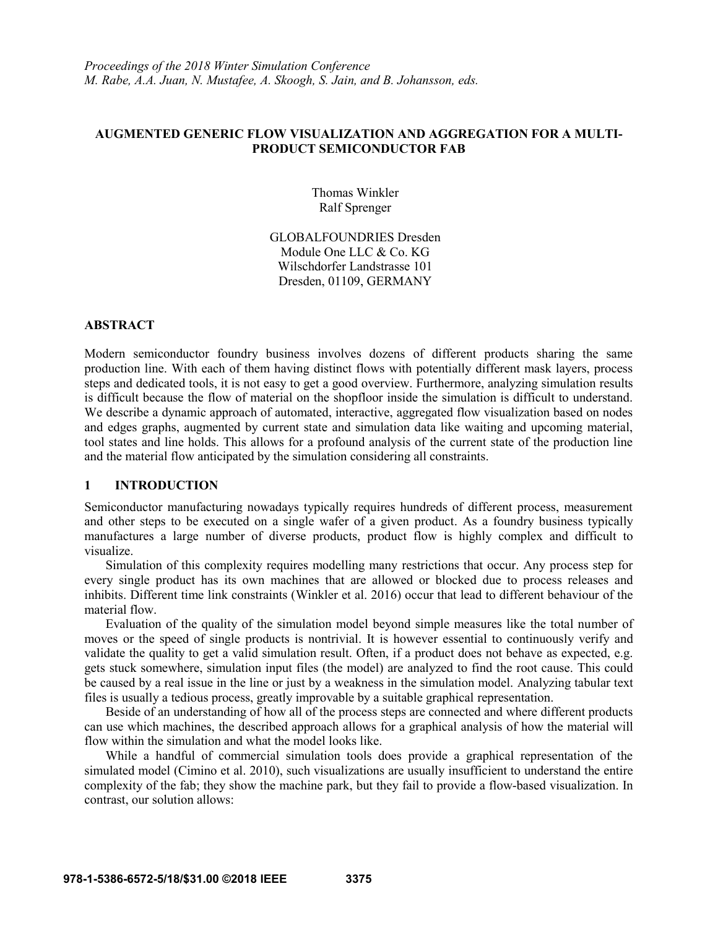# **AUGMENTED GENERIC FLOW VISUALIZATION AND AGGREGATION FOR A MULTI-PRODUCT SEMICONDUCTOR FAB**

Thomas Winkler Ralf Sprenger

GLOBALFOUNDRIES Dresden Module One LLC & Co. KG Wilschdorfer Landstrasse 101 Dresden, 01109, GERMANY

## **ABSTRACT**

Modern semiconductor foundry business involves dozens of different products sharing the same production line. With each of them having distinct flows with potentially different mask layers, process steps and dedicated tools, it is not easy to get a good overview. Furthermore, analyzing simulation results is difficult because the flow of material on the shopfloor inside the simulation is difficult to understand. We describe a dynamic approach of automated, interactive, aggregated flow visualization based on nodes and edges graphs, augmented by current state and simulation data like waiting and upcoming material, tool states and line holds. This allows for a profound analysis of the current state of the production line and the material flow anticipated by the simulation considering all constraints.

#### **1 INTRODUCTION**

Semiconductor manufacturing nowadays typically requires hundreds of different process, measurement and other steps to be executed on a single wafer of a given product. As a foundry business typically manufactures a large number of diverse products, product flow is highly complex and difficult to visualize.

Simulation of this complexity requires modelling many restrictions that occur. Any process step for every single product has its own machines that are allowed or blocked due to process releases and inhibits. Different time link constraints (Winkler et al. 2016) occur that lead to different behaviour of the material flow.

Evaluation of the quality of the simulation model beyond simple measures like the total number of moves or the speed of single products is nontrivial. It is however essential to continuously verify and validate the quality to get a valid simulation result. Often, if a product does not behave as expected, e.g. gets stuck somewhere, simulation input files (the model) are analyzed to find the root cause. This could be caused by a real issue in the line or just by a weakness in the simulation model. Analyzing tabular text files is usually a tedious process, greatly improvable by a suitable graphical representation.

Beside of an understanding of how all of the process steps are connected and where different products can use which machines, the described approach allows for a graphical analysis of how the material will flow within the simulation and what the model looks like.

While a handful of commercial simulation tools does provide a graphical representation of the simulated model (Cimino et al. 2010), such visualizations are usually insufficient to understand the entire complexity of the fab; they show the machine park, but they fail to provide a flow-based visualization. In contrast, our solution allows: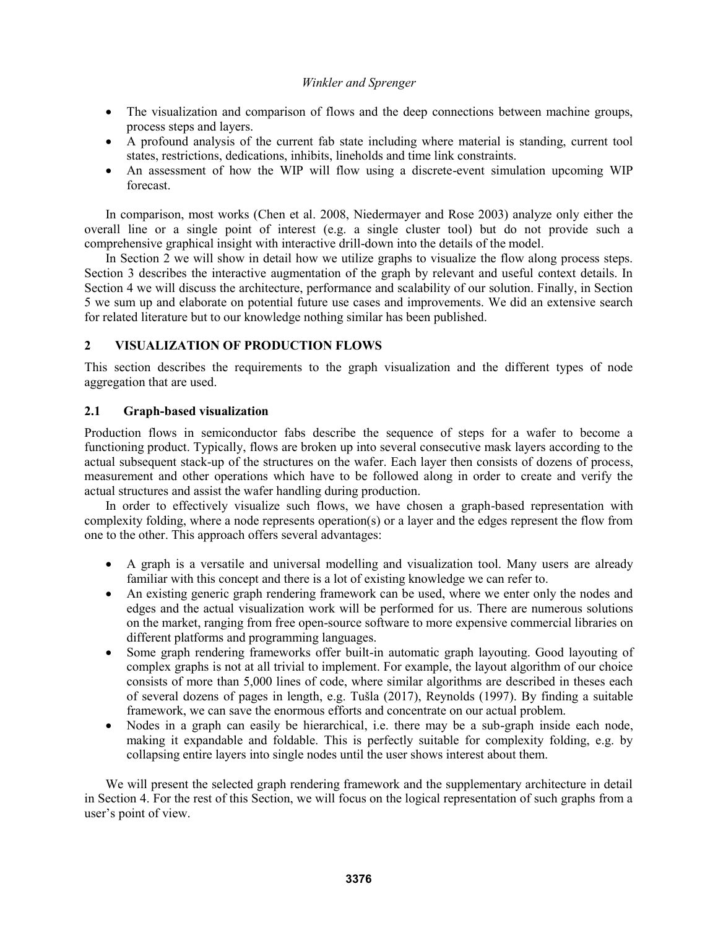- The visualization and comparison of flows and the deep connections between machine groups, process steps and layers.
- A profound analysis of the current fab state including where material is standing, current tool states, restrictions, dedications, inhibits, lineholds and time link constraints.
- An assessment of how the WIP will flow using a discrete-event simulation upcoming WIP forecast.

In comparison, most works (Chen et al. 2008, Niedermayer and Rose 2003) analyze only either the overall line or a single point of interest (e.g. a single cluster tool) but do not provide such a comprehensive graphical insight with interactive drill-down into the details of the model.

In Section 2 we will show in detail how we utilize graphs to visualize the flow along process steps. Section 3 describes the interactive augmentation of the graph by relevant and useful context details. In Section 4 we will discuss the architecture, performance and scalability of our solution. Finally, in Section 5 we sum up and elaborate on potential future use cases and improvements. We did an extensive search for related literature but to our knowledge nothing similar has been published.

# **2 VISUALIZATION OF PRODUCTION FLOWS**

This section describes the requirements to the graph visualization and the different types of node aggregation that are used.

# **2.1 Graph-based visualization**

Production flows in semiconductor fabs describe the sequence of steps for a wafer to become a functioning product. Typically, flows are broken up into several consecutive mask layers according to the actual subsequent stack-up of the structures on the wafer. Each layer then consists of dozens of process, measurement and other operations which have to be followed along in order to create and verify the actual structures and assist the wafer handling during production.

In order to effectively visualize such flows, we have chosen a graph-based representation with complexity folding, where a node represents operation(s) or a layer and the edges represent the flow from one to the other. This approach offers several advantages:

- A graph is a versatile and universal modelling and visualization tool. Many users are already familiar with this concept and there is a lot of existing knowledge we can refer to.
- An existing generic graph rendering framework can be used, where we enter only the nodes and edges and the actual visualization work will be performed for us. There are numerous solutions on the market, ranging from free open-source software to more expensive commercial libraries on different platforms and programming languages.
- Some graph rendering frameworks offer built-in automatic graph layouting. Good layouting of complex graphs is not at all trivial to implement. For example, the layout algorithm of our choice consists of more than 5,000 lines of code, where similar algorithms are described in theses each of several dozens of pages in length, e.g. Tušla (2017), Reynolds (1997). By finding a suitable framework, we can save the enormous efforts and concentrate on our actual problem.
- Nodes in a graph can easily be hierarchical, i.e. there may be a sub-graph inside each node, making it expandable and foldable. This is perfectly suitable for complexity folding, e.g. by collapsing entire layers into single nodes until the user shows interest about them.

We will present the selected graph rendering framework and the supplementary architecture in detail in Section 4. For the rest of this Section, we will focus on the logical representation of such graphs from a user's point of view.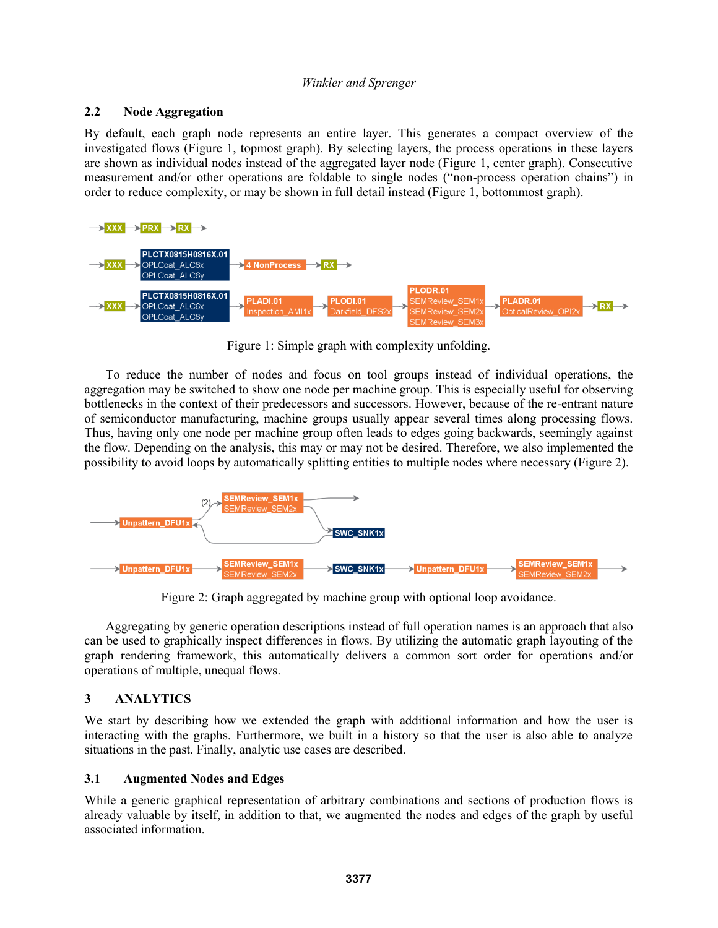## **2.2 Node Aggregation**

By default, each graph node represents an entire layer. This generates a compact overview of the investigated flows (Figure 1, topmost graph). By selecting layers, the process operations in these layers are shown as individual nodes instead of the aggregated layer node (Figure 1, center graph). Consecutive measurement and/or other operations are foldable to single nodes ("non-process operation chains") in order to reduce complexity, or may be shown in full detail instead (Figure 1, bottommost graph).



Figure 1: Simple graph with complexity unfolding.

To reduce the number of nodes and focus on tool groups instead of individual operations, the aggregation may be switched to show one node per machine group. This is especially useful for observing bottlenecks in the context of their predecessors and successors. However, because of the re-entrant nature of semiconductor manufacturing, machine groups usually appear several times along processing flows. Thus, having only one node per machine group often leads to edges going backwards, seemingly against the flow. Depending on the analysis, this may or may not be desired. Therefore, we also implemented the possibility to avoid loops by automatically splitting entities to multiple nodes where necessary (Figure 2).



Figure 2: Graph aggregated by machine group with optional loop avoidance.

Aggregating by generic operation descriptions instead of full operation names is an approach that also can be used to graphically inspect differences in flows. By utilizing the automatic graph layouting of the graph rendering framework, this automatically delivers a common sort order for operations and/or operations of multiple, unequal flows.

# **3 ANALYTICS**

We start by describing how we extended the graph with additional information and how the user is interacting with the graphs. Furthermore, we built in a history so that the user is also able to analyze situations in the past. Finally, analytic use cases are described.

# **3.1 Augmented Nodes and Edges**

While a generic graphical representation of arbitrary combinations and sections of production flows is already valuable by itself, in addition to that, we augmented the nodes and edges of the graph by useful associated information.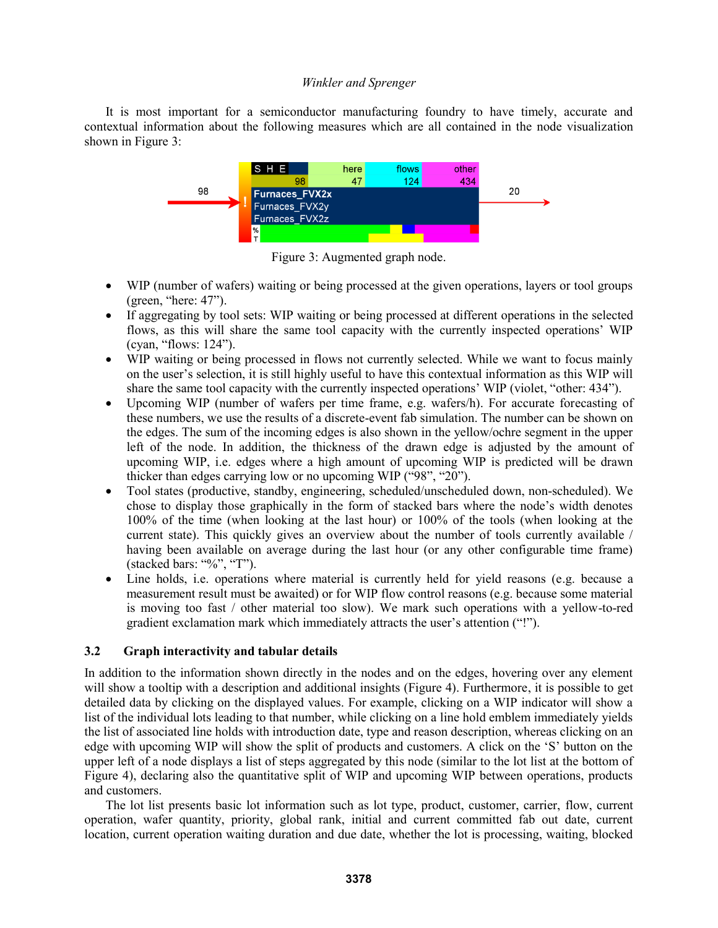It is most important for a semiconductor manufacturing foundry to have timely, accurate and contextual information about the following measures which are all contained in the node visualization shown in Figure 3:



Figure 3: Augmented graph node.

- WIP (number of wafers) waiting or being processed at the given operations, layers or tool groups (green, "here: 47").
- If aggregating by tool sets: WIP waiting or being processed at different operations in the selected flows, as this will share the same tool capacity with the currently inspected operations' WIP (cyan, "flows: 124").
- WIP waiting or being processed in flows not currently selected. While we want to focus mainly on the user's selection, it is still highly useful to have this contextual information as this WIP will share the same tool capacity with the currently inspected operations' WIP (violet, "other: 434").
- Upcoming WIP (number of wafers per time frame, e.g. wafers/h). For accurate forecasting of these numbers, we use the results of a discrete-event fab simulation. The number can be shown on the edges. The sum of the incoming edges is also shown in the yellow/ochre segment in the upper left of the node. In addition, the thickness of the drawn edge is adjusted by the amount of upcoming WIP, i.e. edges where a high amount of upcoming WIP is predicted will be drawn thicker than edges carrying low or no upcoming WIP ("98", "20").
- Tool states (productive, standby, engineering, scheduled/unscheduled down, non-scheduled). We chose to display those graphically in the form of stacked bars where the node's width denotes 100% of the time (when looking at the last hour) or 100% of the tools (when looking at the current state). This quickly gives an overview about the number of tools currently available / having been available on average during the last hour (or any other configurable time frame) (stacked bars: "%", "T").
- Line holds, i.e. operations where material is currently held for yield reasons (e.g. because a measurement result must be awaited) or for WIP flow control reasons (e.g. because some material is moving too fast / other material too slow). We mark such operations with a yellow-to-red gradient exclamation mark which immediately attracts the user's attention ("!").

# **3.2 Graph interactivity and tabular details**

In addition to the information shown directly in the nodes and on the edges, hovering over any element will show a tooltip with a description and additional insights (Figure 4). Furthermore, it is possible to get detailed data by clicking on the displayed values. For example, clicking on a WIP indicator will show a list of the individual lots leading to that number, while clicking on a line hold emblem immediately yields the list of associated line holds with introduction date, type and reason description, whereas clicking on an edge with upcoming WIP will show the split of products and customers. A click on the 'S' button on the upper left of a node displays a list of steps aggregated by this node (similar to the lot list at the bottom of Figure 4), declaring also the quantitative split of WIP and upcoming WIP between operations, products and customers.

The lot list presents basic lot information such as lot type, product, customer, carrier, flow, current operation, wafer quantity, priority, global rank, initial and current committed fab out date, current location, current operation waiting duration and due date, whether the lot is processing, waiting, blocked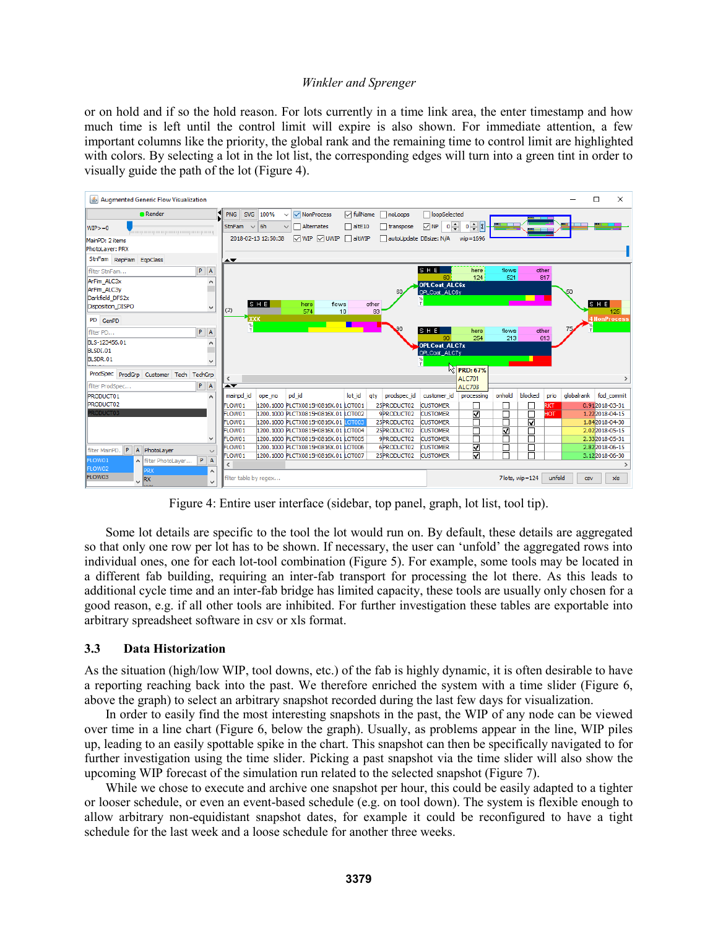or on hold and if so the hold reason. For lots currently in a time link area, the enter timestamp and how much time is left until the control limit will expire is also shown. For immediate attention, a few important columns like the priority, the global rank and the remaining time to control limit are highlighted with colors. By selecting a lot in the lot list, the corresponding edges will turn into a green tint in order to visually guide the path of the lot (Figure 4).



Figure 4: Entire user interface (sidebar, top panel, graph, lot list, tool tip).

Some lot details are specific to the tool the lot would run on. By default, these details are aggregated so that only one row per lot has to be shown. If necessary, the user can 'unfold' the aggregated rows into individual ones, one for each lot-tool combination (Figure 5). For example, some tools may be located in a different fab building, requiring an inter-fab transport for processing the lot there. As this leads to additional cycle time and an inter-fab bridge has limited capacity, these tools are usually only chosen for a good reason, e.g. if all other tools are inhibited. For further investigation these tables are exportable into arbitrary spreadsheet software in csv or xls format.

# **3.3 Data Historization**

As the situation (high/low WIP, tool downs, etc.) of the fab is highly dynamic, it is often desirable to have a reporting reaching back into the past. We therefore enriched the system with a time slider (Figure 6, above the graph) to select an arbitrary snapshot recorded during the last few days for visualization.

In order to easily find the most interesting snapshots in the past, the WIP of any node can be viewed over time in a line chart (Figure 6, below the graph). Usually, as problems appear in the line, WIP piles up, leading to an easily spottable spike in the chart. This snapshot can then be specifically navigated to for further investigation using the time slider. Picking a past snapshot via the time slider will also show the upcoming WIP forecast of the simulation run related to the selected snapshot (Figure 7).

While we chose to execute and archive one snapshot per hour, this could be easily adapted to a tighter or looser schedule, or even an event-based schedule (e.g. on tool down). The system is flexible enough to allow arbitrary non-equidistant snapshot dates, for example it could be reconfigured to have a tight schedule for the last week and a loose schedule for another three weeks.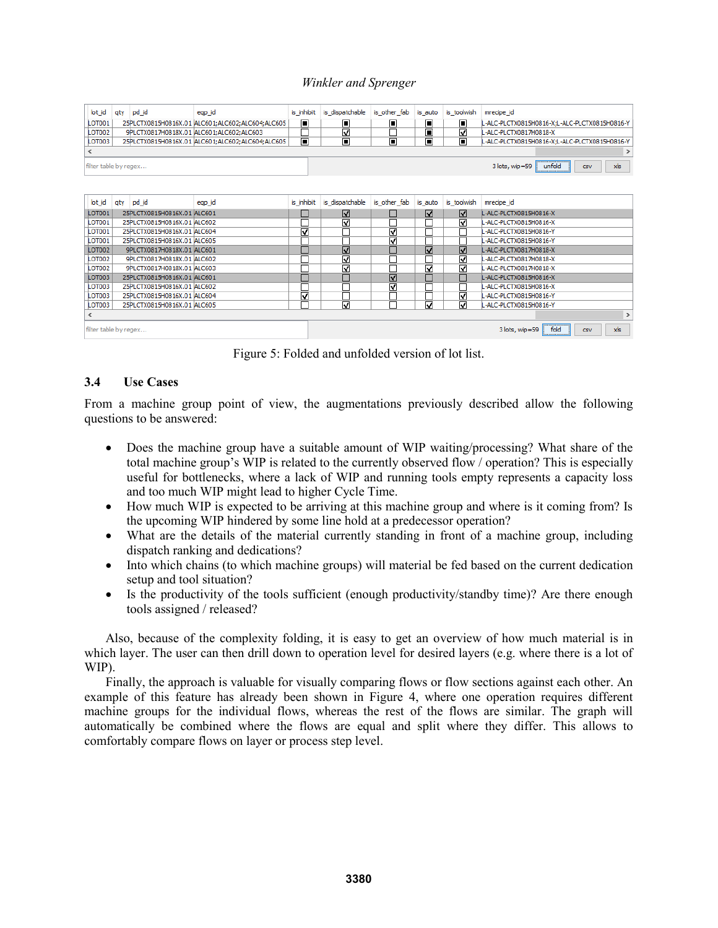| lot id                | aty | pd id                       | eqp_id                                           | is inhibit     | is dispatchable         | is other fab            | is auto        | is_toolwish               | mrecipe id                                    |
|-----------------------|-----|-----------------------------|--------------------------------------------------|----------------|-------------------------|-------------------------|----------------|---------------------------|-----------------------------------------------|
| LOT001                |     |                             | 25PLCTX0815H0816X.01 ALC601;ALC602;ALC604;ALC605 | ▣              | ▣                       | ▣                       | $\blacksquare$ | ▣                         | L-ALC-PLCTX0815H0816-X;L-ALC-PLCTX0815H0816-Y |
| <b>LOT002</b>         |     |                             | 9PLCTX0817H0818X.01 ALC601;ALC602;ALC603         | Π              | $\overline{\mathbf{v}}$ |                         | $\blacksquare$ | ⊽                         | L-ALC-PLCTX0817H0818-X                        |
| LOT003                |     |                             | 25PLCTX0815H0816X.01 ALC601;ALC602;ALC604;ALC605 | $\blacksquare$ | $\blacksquare$          | $\blacksquare$          | П              | $\overline{\blacksquare}$ | L-ALC-PLCTX0815H0816-X;L-ALC-PLCTX0815H0816-Y |
| ∢<br>⋗                |     |                             |                                                  |                |                         |                         |                |                           |                                               |
| filter table by regex |     |                             |                                                  |                |                         |                         |                |                           | unfold<br>xls<br>3 lots, wip=59<br><b>CSV</b> |
|                       |     |                             |                                                  |                |                         |                         |                |                           |                                               |
| lot id                | aty | pd_id                       | eqp_id                                           | is inhibit     | is dispatchable         | is other fab            | is auto        | is toolwish               | mrecipe id                                    |
| LOT001                |     | 25PLCTX0815H0816X.01 ALC601 |                                                  |                | ☑                       |                         | ☑              | ☑                         | L-ALC-PLCTX0815H0816-X                        |
| <b>LOT001</b>         |     | 25PLCTX0815H0816X.01 ALC602 |                                                  | Ξ              | ⊽                       | Ξ                       |                | ☑                         | L-ALC-PLCTX0815H0816-X                        |
| <b>LOT001</b>         |     | 25PLCTX0815H0816X.01 ALC604 |                                                  | V              |                         | ☑                       |                | Г                         | -ALC-PLCTX0815H0816-Y                         |
| LOT001                |     | 25PLCTX0815H0816X.01 ALC605 |                                                  | Ξ              |                         | ☑                       |                | □                         | L-ALC-PLCTX0815H0816-Y                        |
| <b>LOT002</b>         |     | 9PLCTX0817H0818X.01 ALC601  |                                                  | T.             | $\overline{\mathbf{y}}$ | ٦                       | जि             | $\overline{\mathbf{v}}$   | L-ALC-PLCTX0817H0818-X                        |
| <b>LOT002</b>         |     | 9PLCTX0817H0818X.01 ALC602  |                                                  | Ξ              | ☑                       | ⊐                       |                | ☑                         | L-ALC-PLCTX0817H0818-X                        |
| <b>LOT002</b>         |     | 9PLCTX0817H0818X.01 ALC603  |                                                  | D              | $\overline{\mathbf{v}}$ | ٦                       | ⊽              | ⊽                         | -ALC-PLCTX0817H0818-X                         |
| <b>LOT003</b>         |     | 25PLCTX0815H0816X.01 ALC601 |                                                  | a,             | Г                       | $\overline{\mathbf{v}}$ |                | Г                         | L-ALC-PLCTX0815H0816-X                        |
| <b>LOT003</b>         |     | 25PLCTX0815H0816X.01 ALC602 |                                                  | Ξ              |                         | ⊽                       |                |                           | L-ALC-PLCTX0815H0816-X                        |
| LOT003                |     | 25PLCTX0815H0816X.01 ALC604 |                                                  | Ω              |                         | ┑                       |                | ⊡                         | L-ALC-PLCTX0815H0816-Y                        |
| LOT003                |     | 25PLCTX0815H0816X.01 ALC605 |                                                  | ┑              | ☑                       | Г                       | ⊽              | ☑                         | L-ALC-PLCTX0815H0816-Y                        |
| $\,$                  |     |                             |                                                  |                |                         |                         |                |                           |                                               |
| filter table by regex |     |                             |                                                  |                |                         |                         |                |                           | fold<br>xls<br>3 lots, wip=59<br><b>CSV</b>   |

Figure 5: Folded and unfolded version of lot list.

## **3.4 Use Cases**

From a machine group point of view, the augmentations previously described allow the following questions to be answered:

- Does the machine group have a suitable amount of WIP waiting/processing? What share of the total machine group's WIP is related to the currently observed flow / operation? This is especially useful for bottlenecks, where a lack of WIP and running tools empty represents a capacity loss and too much WIP might lead to higher Cycle Time.
- How much WIP is expected to be arriving at this machine group and where is it coming from? Is the upcoming WIP hindered by some line hold at a predecessor operation?
- What are the details of the material currently standing in front of a machine group, including dispatch ranking and dedications?
- Into which chains (to which machine groups) will material be fed based on the current dedication setup and tool situation?
- Is the productivity of the tools sufficient (enough productivity/standby time)? Are there enough tools assigned / released?

Also, because of the complexity folding, it is easy to get an overview of how much material is in which layer. The user can then drill down to operation level for desired layers (e.g. where there is a lot of WIP).

Finally, the approach is valuable for visually comparing flows or flow sections against each other. An example of this feature has already been shown in Figure 4, where one operation requires different machine groups for the individual flows, whereas the rest of the flows are similar. The graph will automatically be combined where the flows are equal and split where they differ. This allows to comfortably compare flows on layer or process step level.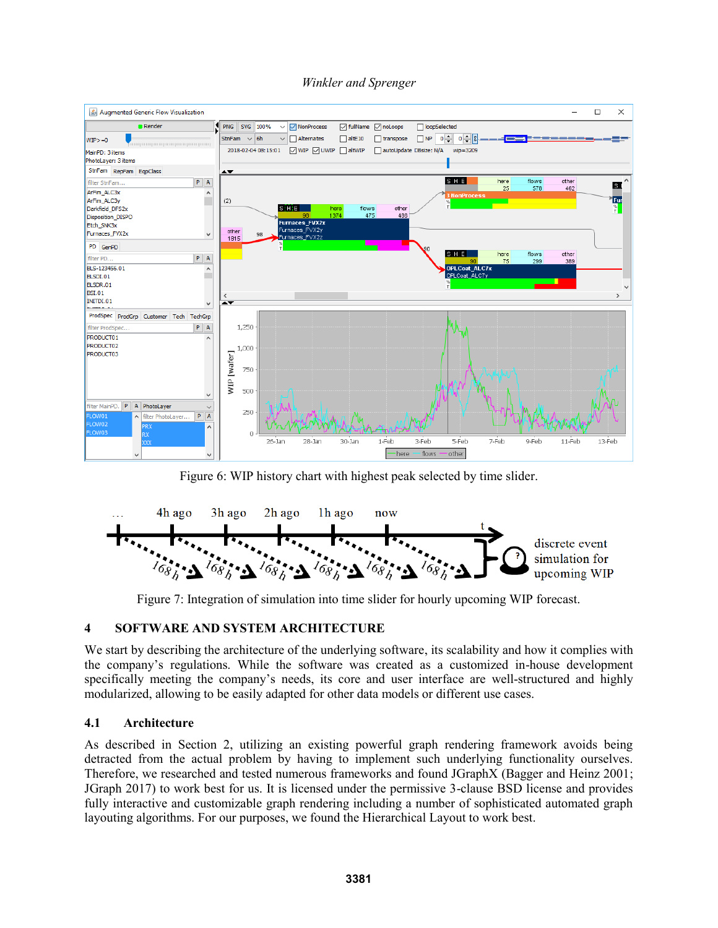

Figure 6: WIP history chart with highest peak selected by time slider.



Figure 7: Integration of simulation into time slider for hourly upcoming WIP forecast.

# **4 SOFTWARE AND SYSTEM ARCHITECTURE**

We start by describing the architecture of the underlying software, its scalability and how it complies with the company's regulations. While the software was created as a customized in-house development specifically meeting the company's needs, its core and user interface are well-structured and highly modularized, allowing to be easily adapted for other data models or different use cases.

# **4.1 Architecture**

As described in Section 2, utilizing an existing powerful graph rendering framework avoids being detracted from the actual problem by having to implement such underlying functionality ourselves. Therefore, we researched and tested numerous frameworks and found JGraphX (Bagger and Heinz 2001; JGraph 2017) to work best for us. It is licensed under the permissive 3-clause BSD license and provides fully interactive and customizable graph rendering including a number of sophisticated automated graph layouting algorithms. For our purposes, we found the Hierarchical Layout to work best.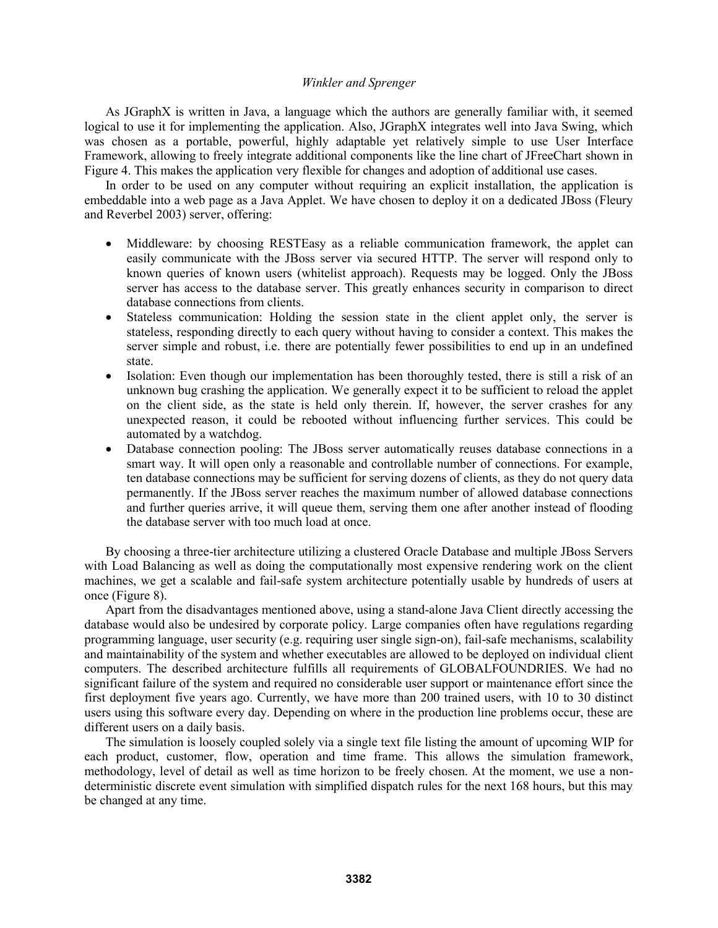As JGraphX is written in Java, a language which the authors are generally familiar with, it seemed logical to use it for implementing the application. Also, JGraphX integrates well into Java Swing, which was chosen as a portable, powerful, highly adaptable yet relatively simple to use User Interface Framework, allowing to freely integrate additional components like the line chart of JFreeChart shown in Figure 4. This makes the application very flexible for changes and adoption of additional use cases.

In order to be used on any computer without requiring an explicit installation, the application is embeddable into a web page as a Java Applet. We have chosen to deploy it on a dedicated JBoss (Fleury and Reverbel 2003) server, offering:

- Middleware: by choosing RESTEasy as a reliable communication framework, the applet can easily communicate with the JBoss server via secured HTTP. The server will respond only to known queries of known users (whitelist approach). Requests may be logged. Only the JBoss server has access to the database server. This greatly enhances security in comparison to direct database connections from clients.
- Stateless communication: Holding the session state in the client applet only, the server is stateless, responding directly to each query without having to consider a context. This makes the server simple and robust, i.e. there are potentially fewer possibilities to end up in an undefined state.
- Isolation: Even though our implementation has been thoroughly tested, there is still a risk of an unknown bug crashing the application. We generally expect it to be sufficient to reload the applet on the client side, as the state is held only therein. If, however, the server crashes for any unexpected reason, it could be rebooted without influencing further services. This could be automated by a watchdog.
- Database connection pooling: The JBoss server automatically reuses database connections in a smart way. It will open only a reasonable and controllable number of connections. For example, ten database connections may be sufficient for serving dozens of clients, as they do not query data permanently. If the JBoss server reaches the maximum number of allowed database connections and further queries arrive, it will queue them, serving them one after another instead of flooding the database server with too much load at once.

By choosing a three-tier architecture utilizing a clustered Oracle Database and multiple JBoss Servers with Load Balancing as well as doing the computationally most expensive rendering work on the client machines, we get a scalable and fail-safe system architecture potentially usable by hundreds of users at once (Figure 8).

Apart from the disadvantages mentioned above, using a stand-alone Java Client directly accessing the database would also be undesired by corporate policy. Large companies often have regulations regarding programming language, user security (e.g. requiring user single sign-on), fail-safe mechanisms, scalability and maintainability of the system and whether executables are allowed to be deployed on individual client computers. The described architecture fulfills all requirements of GLOBALFOUNDRIES. We had no significant failure of the system and required no considerable user support or maintenance effort since the first deployment five years ago. Currently, we have more than 200 trained users, with 10 to 30 distinct users using this software every day. Depending on where in the production line problems occur, these are different users on a daily basis.

The simulation is loosely coupled solely via a single text file listing the amount of upcoming WIP for each product, customer, flow, operation and time frame. This allows the simulation framework, methodology, level of detail as well as time horizon to be freely chosen. At the moment, we use a nondeterministic discrete event simulation with simplified dispatch rules for the next 168 hours, but this may be changed at any time.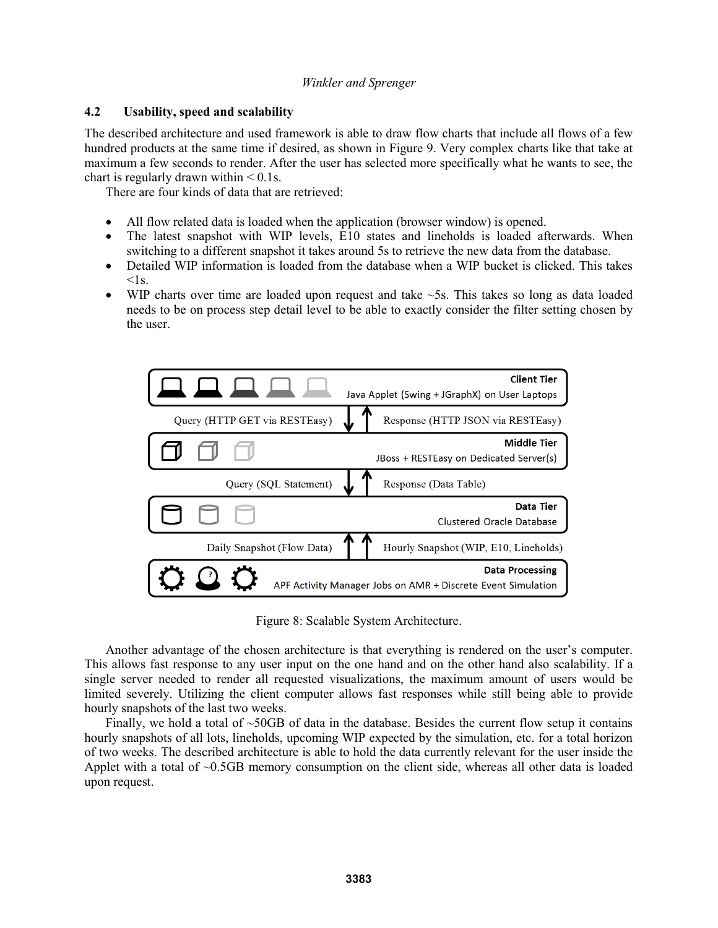# **4.2 Usability, speed and scalability**

The described architecture and used framework is able to draw flow charts that include all flows of a few hundred products at the same time if desired, as shown in Figure 9. Very complex charts like that take at maximum a few seconds to render. After the user has selected more specifically what he wants to see, the chart is regularly drawn within  $< 0.1$ s.

There are four kinds of data that are retrieved:

- All flow related data is loaded when the application (browser window) is opened.
- The latest snapshot with WIP levels, E10 states and lineholds is loaded afterwards. When switching to a different snapshot it takes around 5s to retrieve the new data from the database.
- Detailed WIP information is loaded from the database when a WIP bucket is clicked. This takes  $\leq$ 1s.
- WIP charts over time are loaded upon request and take ~5s. This takes so long as data loaded needs to be on process step detail level to be able to exactly consider the filter setting chosen by the user.



Figure 8: Scalable System Architecture.

Another advantage of the chosen architecture is that everything is rendered on the user's computer. This allows fast response to any user input on the one hand and on the other hand also scalability. If a single server needed to render all requested visualizations, the maximum amount of users would be limited severely. Utilizing the client computer allows fast responses while still being able to provide hourly snapshots of the last two weeks.

Finally, we hold a total of  $\sim$ 50GB of data in the database. Besides the current flow setup it contains hourly snapshots of all lots, lineholds, upcoming WIP expected by the simulation, etc. for a total horizon of two weeks. The described architecture is able to hold the data currently relevant for the user inside the Applet with a total of ~0.5GB memory consumption on the client side, whereas all other data is loaded upon request.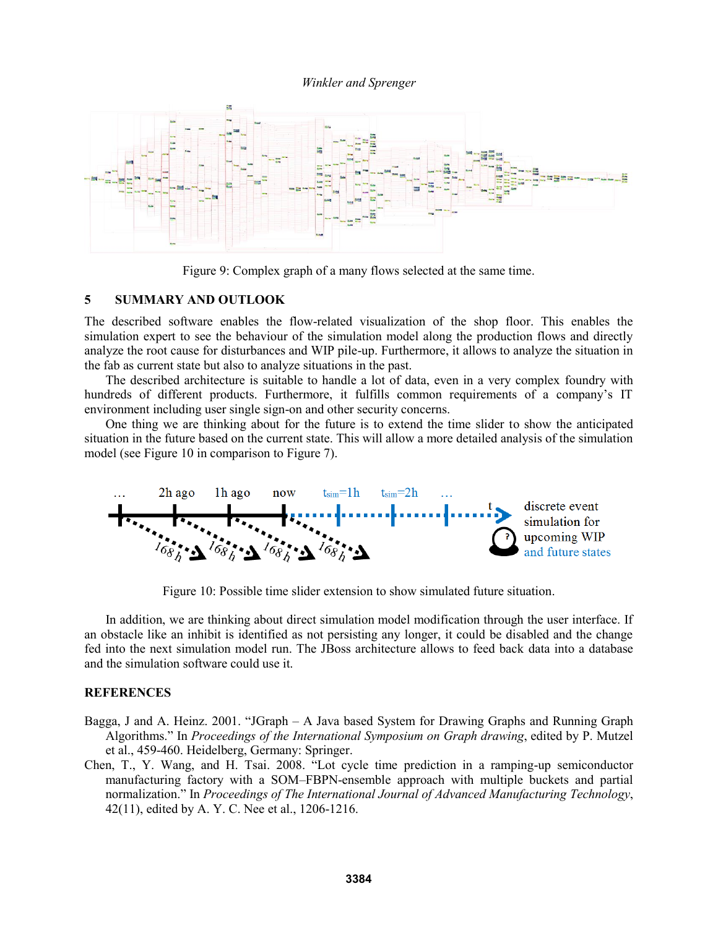

Figure 9: Complex graph of a many flows selected at the same time.

#### **5 SUMMARY AND OUTLOOK**

The described software enables the flow-related visualization of the shop floor. This enables the simulation expert to see the behaviour of the simulation model along the production flows and directly analyze the root cause for disturbances and WIP pile-up. Furthermore, it allows to analyze the situation in the fab as current state but also to analyze situations in the past.

The described architecture is suitable to handle a lot of data, even in a very complex foundry with hundreds of different products. Furthermore, it fulfills common requirements of a company's IT environment including user single sign-on and other security concerns.

One thing we are thinking about for the future is to extend the time slider to show the anticipated situation in the future based on the current state. This will allow a more detailed analysis of the simulation model (see Figure 10 in comparison to Figure 7).



Figure 10: Possible time slider extension to show simulated future situation.

In addition, we are thinking about direct simulation model modification through the user interface. If an obstacle like an inhibit is identified as not persisting any longer, it could be disabled and the change fed into the next simulation model run. The JBoss architecture allows to feed back data into a database and the simulation software could use it.

#### **REFERENCES**

- Bagga, J and A. Heinz. 2001. "JGraph A Java based System for Drawing Graphs and Running Graph Algorithms." In *Proceedings of the International Symposium on Graph drawing*, edited by P. Mutzel et al., 459-460. Heidelberg, Germany: Springer.
- Chen, T., Y. Wang, and H. Tsai. 2008. "Lot cycle time prediction in a ramping-up semiconductor manufacturing factory with a SOM–FBPN-ensemble approach with multiple buckets and partial normalization." In *Proceedings of The International Journal of Advanced Manufacturing Technology*, 42(11), edited by A. Y. C. Nee et al., 1206-1216.